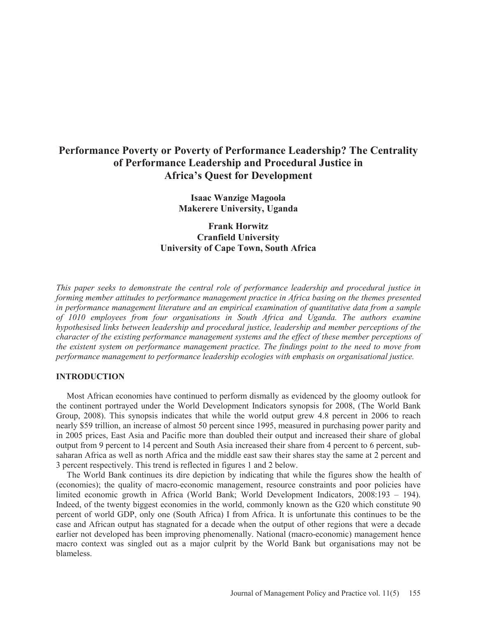# **Performance Poverty or Poverty of Performance Leadership? The Centrality of Performance Leadership and Procedural Justice in Africa's Quest for Development**

**Isaac Wanzige Magoola Makerere University, Uganda** 

**Frank Horwitz Cranfield University University of Cape Town, South Africa** 

*This paper seeks to demonstrate the central role of performance leadership and procedural justice in forming member attitudes to performance management practice in Africa basing on the themes presented in performance management literature and an empirical examination of quantitative data from a sample of 1010 employees from four organisations in South Africa and Uganda. The authors examine hypothesised links between leadership and procedural justice, leadership and member perceptions of the character of the existing performance management systems and the effect of these member perceptions of the existent system on performance management practice. The findings point to the need to move from performance management to performance leadership ecologies with emphasis on organisational justice.* 

## **INTRODUCTION**

 Most African economies have continued to perform dismally as evidenced by the gloomy outlook for the continent portrayed under the World Development Indicators synopsis for 2008, (The World Bank Group, 2008). This synopsis indicates that while the world output grew 4.8 percent in 2006 to reach nearly \$59 trillion, an increase of almost 50 percent since 1995, measured in purchasing power parity and in 2005 prices, East Asia and Pacific more than doubled their output and increased their share of global output from 9 percent to 14 percent and South Asia increased their share from 4 percent to 6 percent, subsaharan Africa as well as north Africa and the middle east saw their shares stay the same at 2 percent and 3 percent respectively. This trend is reflected in figures 1 and 2 below.

 The World Bank continues its dire depiction by indicating that while the figures show the health of (economies); the quality of macro-economic management, resource constraints and poor policies have limited economic growth in Africa (World Bank; World Development Indicators, 2008:193 – 194). Indeed, of the twenty biggest economies in the world, commonly known as the G20 which constitute 90 percent of world GDP, only one (South Africa) I from Africa. It is unfortunate this continues to be the case and African output has stagnated for a decade when the output of other regions that were a decade earlier not developed has been improving phenomenally. National (macro-economic) management hence macro context was singled out as a major culprit by the World Bank but organisations may not be blameless.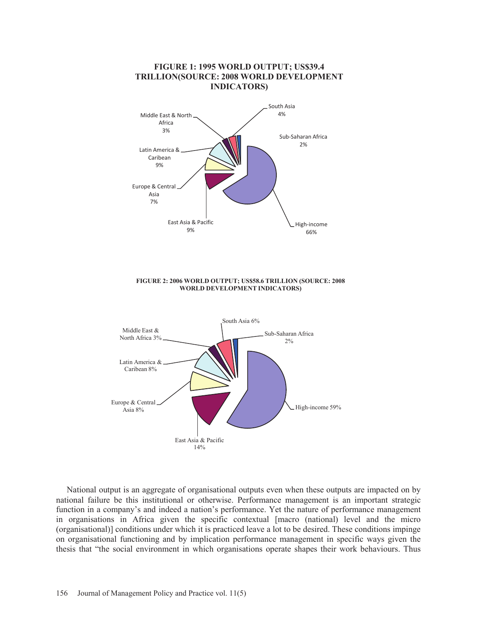## **FIGURE 1: 1995 WORLD OUTPUT; US\$39.4 TRILLION(SOURCE: 2008 WORLD DEVELOPMENT INDICATORS)**



**FIGURE 2: 2006 WORLD OUTPUT; US\$58.6 TRILLION (SOURCE: 2008 WORLD DEVELOPMENT INDICATORS)**



 National output is an aggregate of organisational outputs even when these outputs are impacted on by national failure be this institutional or otherwise. Performance management is an important strategic function in a company's and indeed a nation's performance. Yet the nature of performance management in organisations in Africa given the specific contextual [macro (national) level and the micro (organisational)] conditions under which it is practiced leave a lot to be desired. These conditions impinge on organisational functioning and by implication performance management in specific ways given the thesis that "the social environment in which organisations operate shapes their work behaviours. Thus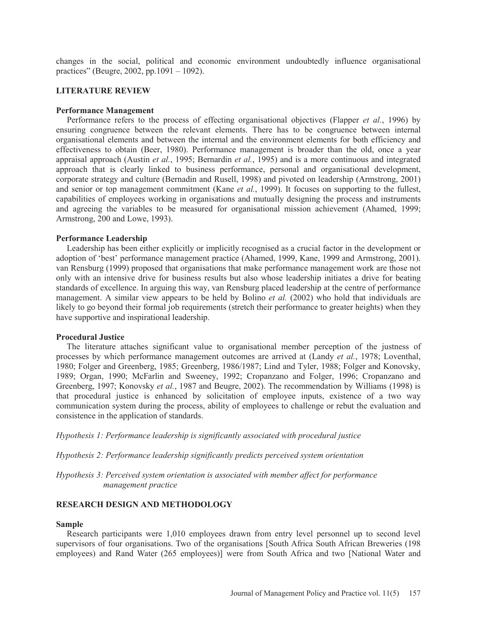changes in the social, political and economic environment undoubtedly influence organisational practices" (Beugre, 2002, pp.1091 – 1092).

## **LITERATURE REVIEW**

#### **Performance Management**

 Performance refers to the process of effecting organisational objectives (Flapper *et al.*, 1996) by ensuring congruence between the relevant elements. There has to be congruence between internal organisational elements and between the internal and the environment elements for both efficiency and effectiveness to obtain (Beer, 1980). Performance management is broader than the old, once a year appraisal approach (Austin *et al.*, 1995; Bernardin *et al.*, 1995) and is a more continuous and integrated approach that is clearly linked to business performance, personal and organisational development, corporate strategy and culture (Bernadin and Rusell, 1998) and pivoted on leadership (Armstrong, 2001) and senior or top management commitment (Kane *et al.*, 1999). It focuses on supporting to the fullest, capabilities of employees working in organisations and mutually designing the process and instruments and agreeing the variables to be measured for organisational mission achievement (Ahamed, 1999; Armstrong, 200 and Lowe, 1993).

#### **Performance Leadership**

 Leadership has been either explicitly or implicitly recognised as a crucial factor in the development or adoption of 'best' performance management practice (Ahamed, 1999, Kane, 1999 and Armstrong, 2001). van Rensburg (1999) proposed that organisations that make performance management work are those not only with an intensive drive for business results but also whose leadership initiates a drive for beating standards of excellence. In arguing this way, van Rensburg placed leadership at the centre of performance management. A similar view appears to be held by Bolino *et al.* (2002) who hold that individuals are likely to go beyond their formal job requirements (stretch their performance to greater heights) when they have supportive and inspirational leadership.

#### **Procedural Justice**

 The literature attaches significant value to organisational member perception of the justness of processes by which performance management outcomes are arrived at (Landy *et al.*, 1978; Loventhal, 1980; Folger and Greenberg, 1985; Greenberg, 1986/1987; Lind and Tyler, 1988; Folger and Konovsky, 1989; Organ, 1990; McFarlin and Sweeney, 1992; Cropanzano and Folger, 1996; Cropanzano and Greenberg, 1997; Konovsky *et al.*, 1987 and Beugre, 2002). The recommendation by Williams (1998) is that procedural justice is enhanced by solicitation of employee inputs, existence of a two way communication system during the process, ability of employees to challenge or rebut the evaluation and consistence in the application of standards.

*Hypothesis 1: Performance leadership is significantly associated with procedural justice* 

*Hypothesis 2: Performance leadership significantly predicts perceived system orientation* 

*Hypothesis 3: Perceived system orientation is associated with member affect for performance management practice* 

## **RESEARCH DESIGN AND METHODOLOGY**

#### **Sample**

 Research participants were 1,010 employees drawn from entry level personnel up to second level supervisors of four organisations. Two of the organisations [South Africa South African Breweries (198 employees) and Rand Water (265 employees)] were from South Africa and two [National Water and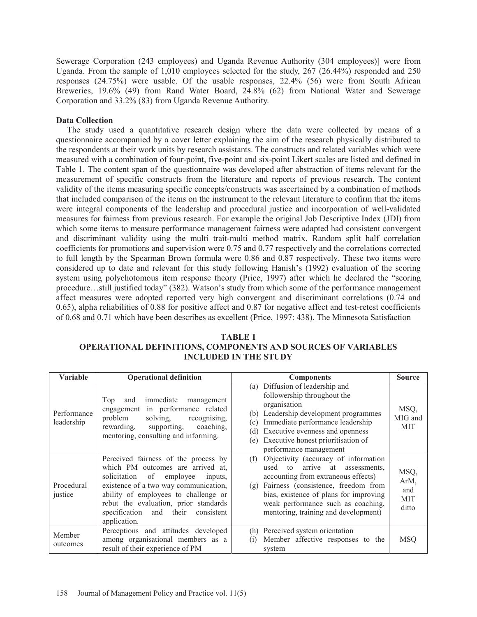Sewerage Corporation (243 employees) and Uganda Revenue Authority (304 employees)] were from Uganda. From the sample of 1,010 employees selected for the study, 267 (26.44%) responded and 250 responses (24.75%) were usable. Of the usable responses, 22.4% (56) were from South African Breweries, 19.6% (49) from Rand Water Board, 24.8% (62) from National Water and Sewerage Corporation and 33.2% (83) from Uganda Revenue Authority.

# **Data Collection**

 The study used a quantitative research design where the data were collected by means of a questionnaire accompanied by a cover letter explaining the aim of the research physically distributed to the respondents at their work units by research assistants. The constructs and related variables which were measured with a combination of four-point, five-point and six-point Likert scales are listed and defined in Table 1. The content span of the questionnaire was developed after abstraction of items relevant for the measurement of specific constructs from the literature and reports of previous research. The content validity of the items measuring specific concepts/constructs was ascertained by a combination of methods that included comparison of the items on the instrument to the relevant literature to confirm that the items were integral components of the leadership and procedural justice and incorporation of well-validated measures for fairness from previous research. For example the original Job Descriptive Index (JDI) from which some items to measure performance management fairness were adapted had consistent convergent and discriminant validity using the multi trait-multi method matrix. Random split half correlation coefficients for promotions and supervision were 0.75 and 0.77 respectively and the correlations corrected to full length by the Spearman Brown formula were 0.86 and 0.87 respectively. These two items were considered up to date and relevant for this study following Hanish's (1992) evaluation of the scoring system using polychotomous item response theory (Price, 1997) after which he declared the "scoring procedure…still justified today" (382). Watson's study from which some of the performance management affect measures were adopted reported very high convergent and discriminant correlations (0.74 and 0.65), alpha reliabilities of 0.88 for positive affect and 0.87 for negative affect and test-retest coefficients of 0.68 and 0.71 which have been describes as excellent (Price, 1997: 438). The Minnesota Satisfaction

| TABLE 1                                                             |
|---------------------------------------------------------------------|
| <b>OPERATIONAL DEFINITIONS, COMPONENTS AND SOURCES OF VARIABLES</b> |
| <b>INCLUDED IN THE STUDY</b>                                        |

| <b>Variable</b>           | <b>Operational definition</b>                                                                                                                                                                                                                                                                          | <b>Components</b>                                                                                                                                                                                                                                                                             | <b>Source</b>                              |
|---------------------------|--------------------------------------------------------------------------------------------------------------------------------------------------------------------------------------------------------------------------------------------------------------------------------------------------------|-----------------------------------------------------------------------------------------------------------------------------------------------------------------------------------------------------------------------------------------------------------------------------------------------|--------------------------------------------|
| Performance<br>leadership | immediate management<br>Top<br>and<br>engagement in performance related<br>problem<br>solving,<br>recognising.<br>coaching,<br>rewarding,<br>supporting,<br>mentoring, consulting and informing.                                                                                                       | Diffusion of leadership and<br>(a)<br>followership throughout the<br>organisation<br>(b) Leadership development programmes<br>Immediate performance leadership<br>(c)<br>Executive evenness and openness<br>(d)<br>Executive honest prioritisation of<br>(e)<br>performance management        | MSQ,<br>MIG and<br><b>MIT</b>              |
| Procedural<br>justice     | Perceived fairness of the process by<br>which PM outcomes are arrived at,<br>employee<br>solicitation of<br>inputs,<br>existence of a two way communication,<br>ability of employees to challenge or<br>rebut the evaluation, prior standards<br>specification and their<br>consistent<br>application. | Objectivity (accuracy of information<br>(f)<br>arrive at assessments,<br>used to<br>accounting from extraneous effects)<br>Fairness (consistence, freedom from<br>(g)<br>bias, existence of plans for improving<br>weak performance such as coaching,<br>mentoring, training and development) | MSQ,<br>ArM,<br>and<br><b>MIT</b><br>ditto |
| Member<br>outcomes        | Perceptions and attitudes developed<br>among organisational members as a<br>result of their experience of PM                                                                                                                                                                                           | Perceived system orientation<br>(h)<br>Member affective responses to the<br>(1)<br>system                                                                                                                                                                                                     | <b>MSQ</b>                                 |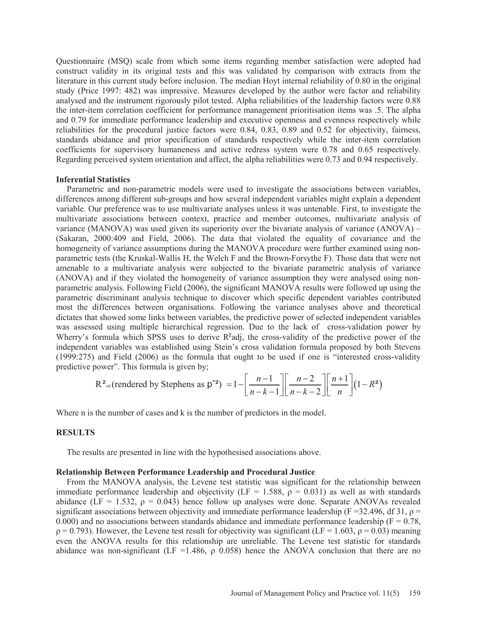Questionnaire (MSQ) scale from which some items regarding member satisfaction were adopted had construct validity in its original tests and this was validated by comparison with extracts from the literature in this current study before inclusion. The median Hoyt internal reliability of 0.80 in the original study (Price 1997: 482) was impressive. Measures developed by the author were factor and reliability analysed and the instrument rigorously pilot tested. Alpha reliabilities of the leadership factors were 0.88 the inter-item correlation coefficient for performance management prioritisation items was .5. The alpha and 0.79 for immediate performance leadership and executive openness and evenness respectively while reliabilities for the procedural justice factors were 0.84, 0.83, 0.89 and 0.52 for objectivity, fairness, standards abidance and prior specification of standards respectively while the inter-item correlation coefficients for supervisory humaneness and active redress system were 0.78 and 0.65 respectively. Regarding perceived system orientation and affect, the alpha reliabilities were 0.73 and 0.94 respectively.

## **Inferential Statistics**

 Parametric and non-parametric models were used to investigate the associations between variables, differences among different sub-groups and how several independent variables might explain a dependent variable. Our preference was to use multivariate analyses unless it was untenable. First, to investigate the multivariate associations between context, practice and member outcomes, multivariate analysis of variance (MANOVA) was used given its superiority over the bivariate analysis of variance (ANOVA) – (Sakaran, 2000:409 and Field, 2006). The data that violated the equality of covariance and the homogeneity of variance assumptions during the MANOVA procedure were further examined using nonparametric tests (the Kruskal-Wallis H, the Welch F and the Brown-Forsythe F). Those data that were not amenable to a multivariate analysis were subjected to the bivariate parametric analysis of variance (ANOVA) and if they violated the homogeneity of variance assumption they were analysed using nonparametric analysis. Following Field (2006), the significant MANOVA results were followed up using the parametric discriminant analysis technique to discover which specific dependent variables contributed most the differences between organisations. Following the variance analyses above and theoretical dictates that showed some links between variables, the predictive power of selected independent variables was assessed using multiple hierarchical regression. Due to the lack of cross-validation power by Wherry's formula which SPSS uses to derive R<sup>2</sup>adj, the cross-validity of the predictive power of the independent variables was established using Stein's cross validation formula proposed by both Stevens (1999:275) and Field (2006) as the formula that ought to be used if one is "interested cross-validity predictive power". This formula is given by;

$$
R^{2_{\text{adj}}} \text{(rendered by \text{Stephens as } p^{\text{-}2}\text{)}} = 1 - \left[\frac{n-1}{n-k-1}\right] \left[\frac{n-2}{n-k-2}\right] \left[\frac{n+1}{n}\right] (1 - R^{2})
$$

Where n is the number of cases and k is the number of predictors in the model.

## **RESULTS**

The results are presented in line with the hypothesised associations above.

## **Relationship Between Performance Leadership and Procedural Justice**

 From the MANOVA analysis, the Levene test statistic was significant for the relationship between immediate performance leadership and objectivity (LF = 1.588,  $\rho = 0.031$ ) as well as with standards abidance (LF = 1.532,  $\rho = 0.043$ ) hence follow up analyses were done. Separate ANOVAs revealed significant associations between objectivity and immediate performance leadership (F = 32.496, df 31,  $\rho$  = 0.000) and no associations between standards abidance and immediate performance leadership ( $F = 0.78$ ,  $\rho = 0.793$ ). However, the Levene test result for objectivity was significant (LF = 1.603,  $\rho = 0.03$ ) meaning even the ANOVA results for this relationship are unreliable. The Levene test statistic for standards abidance was non-significant (LF = 1.486,  $\rho$  0.058) hence the ANOVA conclusion that there are no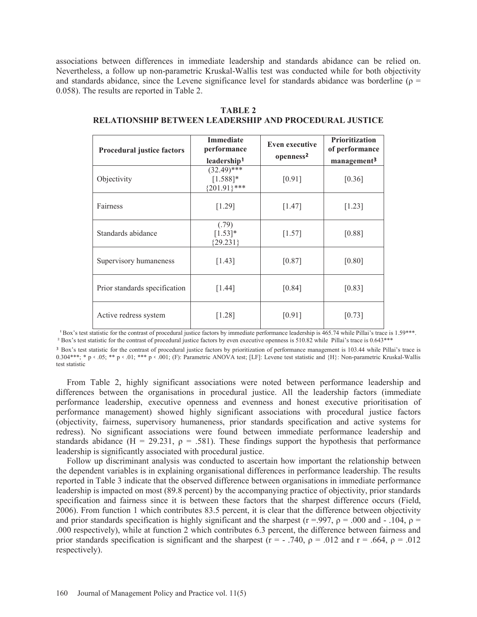associations between differences in immediate leadership and standards abidance can be relied on. Nevertheless, a follow up non-parametric Kruskal-Wallis test was conducted while for both objectivity and standards abidance, since the Levene significance level for standards abidance was borderline ( $\rho$  = 0.058). The results are reported in Table 2.

| <b>Procedural justice factors</b> | <b>Immediate</b><br>performance                | <b>Even executive</b> | <b>Prioritization</b><br>of performance |
|-----------------------------------|------------------------------------------------|-----------------------|-----------------------------------------|
|                                   | leadership <sup>1</sup>                        | openness <sup>2</sup> | management <sup>3</sup>                 |
| Objectivity                       | $(32.49)$ ***<br>$[1.588]$ *<br>${201.91}$ *** | [0.91]                | [0.36]                                  |
| Fairness                          | [1.29]                                         | [1.47]                | [1.23]                                  |
| Standards abidance                | (.79)<br>$[1.53]*$<br>${29.231}$               | [1.57]                | [0.88]                                  |
| Supervisory humaneness            | [1.43]                                         | [0.87]                | [0.80]                                  |
| Prior standards specification     | [1.44]                                         | [0.84]                | [0.83]                                  |
| Active redress system             | [1.28]                                         | [0.91]                | [0.73]                                  |

**TABLE 2 RELATIONSHIP BETWEEN LEADERSHIP AND PROCEDURAL JUSTICE**

<sup>1</sup> Box's test statistic for the contrast of procedural justice factors by immediate performance leadership is 465.74 while Pillai's trace is 1.59\*\*\*. ² Box's test statistic for the contrast of procedural justice factors by even executive openness is 510.82 while Pillai's trace is 0.643\*\*\*

<sup>3</sup> Box's test statistic for the contrast of procedural justice factors by prioritization of performance management is 103.44 while Pillai's trace is 0.304\*\*\*; \* p < .05; \*\* p < .01; \*\*\* p < .001; (F): Parametric ANOVA test; [LF]: Levene test statistic and {H}: Non-parametric Kruskal-Wallis test statistic

 From Table 2, highly significant associations were noted between performance leadership and differences between the organisations in procedural justice. All the leadership factors (immediate performance leadership, executive openness and evenness and honest executive prioritisation of performance management) showed highly significant associations with procedural justice factors (objectivity, fairness, supervisory humaneness, prior standards specification and active systems for redress). No significant associations were found between immediate performance leadership and standards abidance (H = 29.231,  $\rho$  = .581). These findings support the hypothesis that performance leadership is significantly associated with procedural justice.

 Follow up discriminant analysis was conducted to ascertain how important the relationship between the dependent variables is in explaining organisational differences in performance leadership. The results reported in Table 3 indicate that the observed difference between organisations in immediate performance leadership is impacted on most (89.8 percent) by the accompanying practice of objectivity, prior standards specification and fairness since it is between these factors that the sharpest difference occurs (Field, 2006). From function 1 which contributes 83.5 percent, it is clear that the difference between objectivity and prior standards specification is highly significant and the sharpest ( $r = 997$ ,  $\rho = 0.00$  and  $\alpha$  = .104,  $\rho$  = .000 respectively), while at function 2 which contributes 6.3 percent, the difference between fairness and prior standards specification is significant and the sharpest (r = - .740,  $\rho$  = .012 and r = .664,  $\rho$  = .012 respectively).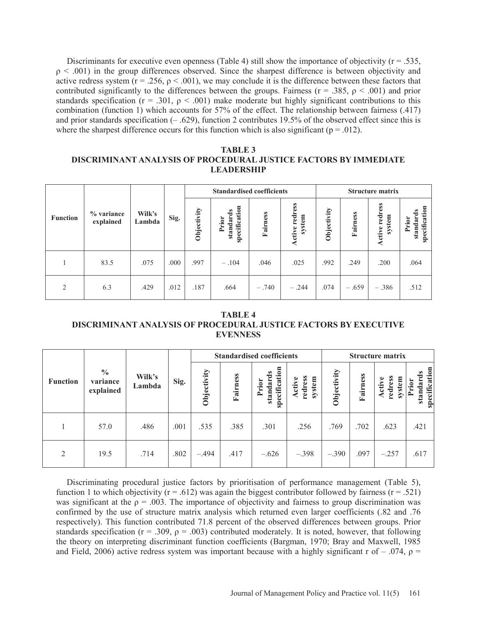Discriminants for executive even openness (Table 4) still show the importance of objectivity ( $r = .535$ ,  $\rho$  < .001) in the group differences observed. Since the sharpest difference is between objectivity and active redress system ( $r = 0.256$ ,  $\rho \le 0.001$ ), we may conclude it is the difference between these factors that contributed significantly to the differences between the groups. Fairness ( $r = .385$ ,  $\rho < .001$ ) and prior standards specification ( $r = .301$ ,  $\rho < .001$ ) make moderate but highly significant contributions to this combination (function 1) which accounts for 57% of the effect. The relationship between fairness (.417) and prior standards specification (– .629), function 2 contributes 19.5% of the observed effect since this is where the sharpest difference occurs for this function which is also significant ( $p = .012$ ).

# **TABLE 3 DISCRIMINANT ANALYSIS OF PROCEDURAL JUSTICE FACTORS BY IMMEDIATE LEADERSHIP**

|                 |                         |                  |      | <b>Standardised coefficients</b> |                                     |          |                                 |             | <b>Structure matrix</b> |                          |                                        |  |
|-----------------|-------------------------|------------------|------|----------------------------------|-------------------------------------|----------|---------------------------------|-------------|-------------------------|--------------------------|----------------------------------------|--|
| <b>Function</b> | % variance<br>explained | Wilk's<br>Lambda | Sig. | Objectivity                      | specification<br>standards<br>Prior | Fairness | ress<br>red<br>system<br>Active | Objectivity | Fairness                | Active redress<br>system | specification<br>é<br>standar<br>Prior |  |
|                 | 83.5                    | .075             | .000 | .997                             | $-.104$                             | .046     | .025                            | .992        | .249                    | .200                     | .064                                   |  |
| 2               | 6.3                     | .429             | .012 | .187                             | .664                                | $-.740$  | $-.244$                         | .074        | $-.659$                 | $-.386$                  | .512                                   |  |

**TABLE 4 DISCRIMINANT ANALYSIS OF PROCEDURAL JUSTICE FACTORS BY EXECUTIVE EVENNESS** 

|                 |                                        |                  |      | <b>Standardised coefficients</b> |          |                                     |                             |             | <b>Structure matrix</b> |                                 |                                        |  |
|-----------------|----------------------------------------|------------------|------|----------------------------------|----------|-------------------------------------|-----------------------------|-------------|-------------------------|---------------------------------|----------------------------------------|--|
| <b>Function</b> | $\frac{0}{0}$<br>variance<br>explained | Wilk's<br>Lambda | Sig. | Objectivity                      | Fairness | specification<br>standards<br>Prior | redress<br>system<br>Active | Objectivity | Fairness                | redress<br>system<br>٥<br>Activ | specification<br>é<br>standar<br>Prior |  |
|                 | 57.0                                   | .486             | .001 | .535                             | .385     | .301                                | .256                        | .769        | .702                    | .623                            | .421                                   |  |
| 2               | 19.5                                   | .714             | .802 | $-.494$                          | .417     | $-.626$                             | $-.398$                     | $-.390$     | .097                    | $-.257$                         | .617                                   |  |

 Discriminating procedural justice factors by prioritisation of performance management (Table 5), function 1 to which objectivity ( $r = .612$ ) was again the biggest contributor followed by fairness ( $r = .521$ ) was significant at the  $\rho = .003$ . The importance of objectivity and fairness to group discrimination was confirmed by the use of structure matrix analysis which returned even larger coefficients (.82 and .76 respectively). This function contributed 71.8 percent of the observed differences between groups. Prior standards specification ( $r = .309$ ,  $\rho = .003$ ) contributed moderately. It is noted, however, that following the theory on interpreting discriminant function coefficients (Bargman, 1970; Bray and Maxwell, 1985 and Field, 2006) active redress system was important because with a highly significant r of –  $.074$ ,  $\rho$  =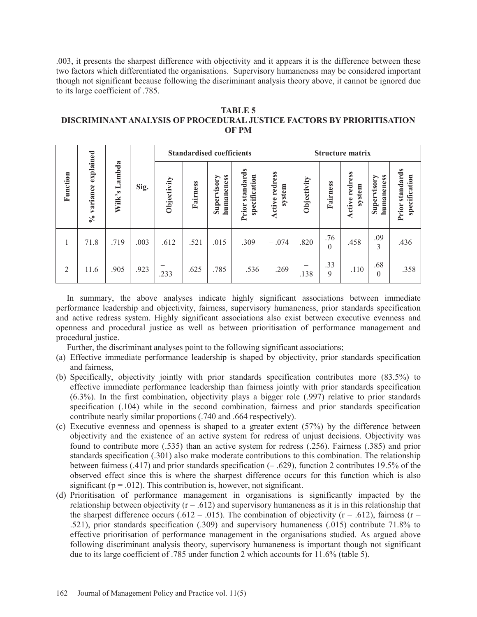.003, it presents the sharpest difference with objectivity and it appears it is the difference between these two factors which differentiated the organisations. Supervisory humaneness may be considered important though not significant because following the discriminant analysis theory above, it cannot be ignored due to its large coefficient of .785.

| TABLE 5                                                               |
|-----------------------------------------------------------------------|
| DISCRIMINANT ANALYSIS OF PROCEDURAL JUSTICE FACTORS BY PRIORITISATION |
| <b>OF PM</b>                                                          |

|                |                                                  |               |      | <b>Standardised coefficients</b> |          |                           |                                         | <b>Structure matrix</b>  |             |                 |                          |                           |                                  |
|----------------|--------------------------------------------------|---------------|------|----------------------------------|----------|---------------------------|-----------------------------------------|--------------------------|-------------|-----------------|--------------------------|---------------------------|----------------------------------|
| Function       | explained<br>variance<br>$\mathcal{S}_{\bullet}$ | Wilk's Lambda | Sig. | Objectivity                      | Fairness | humaneness<br>Supervisory | <b>Prior standards</b><br>specification | Active redress<br>system | Objectivity | Fairness        | Active redress<br>system | humaneness<br>Supervisory | Prior standards<br>specification |
| 1              | 71.8                                             | .719          | .003 | .612                             | .521     | .015                      | .309                                    | $-.074$                  | .820        | .76<br>$\Omega$ | .458                     | .09<br>$\overline{3}$     | .436                             |
| $\overline{2}$ | 11.6                                             | .905          | .923 | .233                             | .625     | .785                      | $-.536$                                 | $-.269$                  | .138        | .33<br>9        | $-.110$                  | .68<br>$\theta$           | $-.358$                          |

 In summary, the above analyses indicate highly significant associations between immediate performance leadership and objectivity, fairness, supervisory humaneness, prior standards specification and active redress system. Highly significant associations also exist between executive evenness and openness and procedural justice as well as between prioritisation of performance management and procedural justice.

Further, the discriminant analyses point to the following significant associations;

- (a) Effective immediate performance leadership is shaped by objectivity, prior standards specification and fairness,
- (b) Specifically, objectivity jointly with prior standards specification contributes more (83.5%) to effective immediate performance leadership than fairness jointly with prior standards specification (6.3%). In the first combination, objectivity plays a bigger role (.997) relative to prior standards specification (.104) while in the second combination, fairness and prior standards specification contribute nearly similar proportions (.740 and .664 respectively).
- (c) Executive evenness and openness is shaped to a greater extent (57%) by the difference between objectivity and the existence of an active system for redress of unjust decisions. Objectivity was found to contribute more (.535) than an active system for redress (.256). Fairness (.385) and prior standards specification (.301) also make moderate contributions to this combination. The relationship between fairness (.417) and prior standards specification (– .629), function 2 contributes 19.5% of the observed effect since this is where the sharpest difference occurs for this function which is also significant ( $p = .012$ ). This contribution is, however, not significant.
- (d) Prioritisation of performance management in organisations is significantly impacted by the relationship between objectivity ( $r = .612$ ) and supervisory humaneness as it is in this relationship that the sharpest difference occurs (.612 – .015). The combination of objectivity ( $r = .612$ ), fairness ( $r =$ .521), prior standards specification (.309) and supervisory humaneness (.015) contribute 71.8% to effective prioritisation of performance management in the organisations studied. As argued above following discriminant analysis theory, supervisory humaneness is important though not significant due to its large coefficient of .785 under function 2 which accounts for 11.6% (table 5).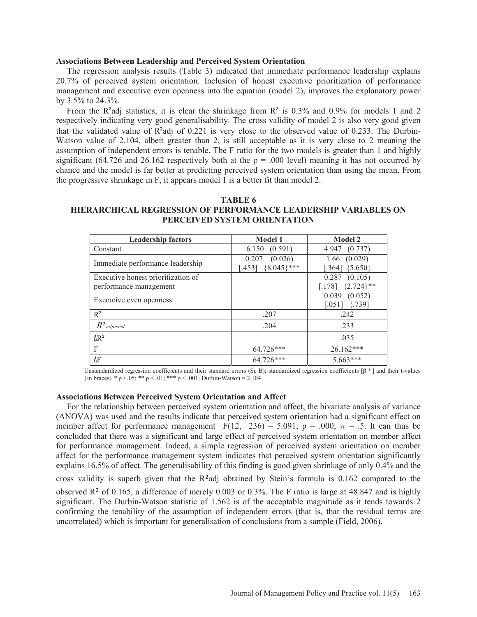#### **Associations Between Leadership and Perceived System Orientation**

 The regression analysis results (Table 3) indicated that immediate performance leadership explains 20.7% of perceived system orientation. Inclusion of honest executive prioritization of performance management and executive even openness into the equation (model 2), improves the explanatory power by 3.5% to 24.3%.

From the R<sup>2</sup>adj statistics, it is clear the shrinkage from  $R^2$  is 0.3% and 0.9% for models 1 and 2 respectively indicating very good generalisability. The cross validity of model 2 is also very good given that the validated value of  $R^2$ adj of 0.221 is very close to the observed value of 0.233. The Durbin-Watson value of 2.104, albeit greater than 2, is still acceptable as it is very close to 2 meaning the assumption of independent errors is tenable. The F ratio for the two models is greater than 1 and highly significant (64.726 and 26.162 respectively both at the  $\rho = .000$  level) meaning it has not occurred by chance and the model is far better at predicting perceived system orientation than using the mean. From the progressive shrinkage in F, it appears model 1 is a better fit than model 2.

#### **TABLE 6**

## **HIERARCHICAL REGRESSION OF PERFORMANCE LEADERSHIP VARIABLES ON PERCEIVED SYSTEM ORIENTATION**

| <b>Leadership factors</b>          | <b>Model 1</b>                                | <b>Model 2</b>                         |
|------------------------------------|-----------------------------------------------|----------------------------------------|
| Constant                           | (0.591)<br>6.150                              | (0.737)<br>4.947                       |
| Immediate performance leadership   | (0.026)<br>0.207<br>${8.045}$ ***<br>$-453$ ] | (0.029)<br>1.66<br>${5.650}$<br>[.364] |
| Executive honest prioritization of |                                               | (0.105)<br>0.287                       |
| performance management             |                                               | ${2.724}$ **<br>[.178]                 |
| Executive even openness            |                                               | 0.039<br>(0.052)                       |
|                                    |                                               | $[.051]$<br>${739}$                    |
| $R^2$                              | .207                                          | .242                                   |
| $R^2$ adjusted                     | .204                                          | .233                                   |
| $\Delta$ R <sup>2</sup>            |                                               | .035                                   |
| F                                  | 64.726***                                     | 26.162***                              |
| ΔF                                 | $64.726***$                                   | $5.663***$                             |

Unstandardized regression coefficients and their standard errors (S $\epsilon$  B); standardized regression coefficients [ $\beta$ <sup>*i*</sup>] and their t-values  $\{\text{in braces}\}$  \*  $\rho \le .05$ ; \*\*  $\rho \le .01$ ; \*\*\*  $\rho \le .001$ ; Durbin-Watson = 2.104

#### **Associations Between Perceived System Orientation and Affect**

 For the relationship between perceived system orientation and affect, the bivariate analysis of variance (ANOVA) was used and the results indicate that perceived system orientation had a significant effect on member affect for performance management  $F(12, 236) = 5.091$ ;  $p = .000$ ;  $w = .5$ . It can thus be concluded that there was a significant and large effect of perceived system orientation on member affect for performance management. Indeed, a simple regression of perceived system orientation on member affect for the performance management system indicates that perceived system orientation significantly explains 16.5% of affect. The generalisability of this finding is good given shrinkage of only 0.4% and the cross validity is superb given that the  $R^2$ adj obtained by Stein's formula is 0.162 compared to the observed R² of 0.165, a difference of merely 0.003 or 0.3%. The F ratio is large at 48.847 and is highly significant. The Durbin-Watson statistic of 1.562 is of the acceptable magnitude as it tends towards 2 confirming the tenability of the assumption of independent errors (that is, that the residual terms are uncorrelated) which is important for generalisation of conclusions from a sample (Field, 2006).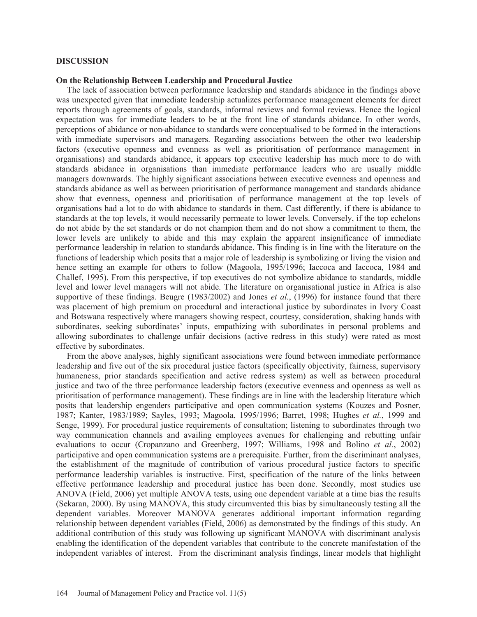#### **DISCUSSION**

#### **On the Relationship Between Leadership and Procedural Justice**

 The lack of association between performance leadership and standards abidance in the findings above was unexpected given that immediate leadership actualizes performance management elements for direct reports through agreements of goals, standards, informal reviews and formal reviews. Hence the logical expectation was for immediate leaders to be at the front line of standards abidance. In other words, perceptions of abidance or non-abidance to standards were conceptualised to be formed in the interactions with immediate supervisors and managers. Regarding associations between the other two leadership factors (executive openness and evenness as well as prioritisation of performance management in organisations) and standards abidance, it appears top executive leadership has much more to do with standards abidance in organisations than immediate performance leaders who are usually middle managers downwards. The highly significant associations between executive evenness and openness and standards abidance as well as between prioritisation of performance management and standards abidance show that evenness, openness and prioritisation of performance management at the top levels of organisations had a lot to do with abidance to standards in them. Cast differently, if there is abidance to standards at the top levels, it would necessarily permeate to lower levels. Conversely, if the top echelons do not abide by the set standards or do not champion them and do not show a commitment to them, the lower levels are unlikely to abide and this may explain the apparent insignificance of immediate performance leadership in relation to standards abidance. This finding is in line with the literature on the functions of leadership which posits that a major role of leadership is symbolizing or living the vision and hence setting an example for others to follow (Magoola, 1995/1996; Iaccoca and Iaccoca, 1984 and Challef, 1995). From this perspective, if top executives do not symbolize abidance to standards, middle level and lower level managers will not abide. The literature on organisational justice in Africa is also supportive of these findings. Beugre (1983/2002) and Jones *et al.*, (1996) for instance found that there was placement of high premium on procedural and interactional justice by subordinates in Ivory Coast and Botswana respectively where managers showing respect, courtesy, consideration, shaking hands with subordinates, seeking subordinates' inputs, empathizing with subordinates in personal problems and allowing subordinates to challenge unfair decisions (active redress in this study) were rated as most effective by subordinates.

 From the above analyses, highly significant associations were found between immediate performance leadership and five out of the six procedural justice factors (specifically objectivity, fairness, supervisory humaneness, prior standards specification and active redress system) as well as between procedural justice and two of the three performance leadership factors (executive evenness and openness as well as prioritisation of performance management). These findings are in line with the leadership literature which posits that leadership engenders participative and open communication systems (Kouzes and Posner, 1987; Kanter, 1983/1989; Sayles, 1993; Magoola, 1995/1996; Barret, 1998; Hughes *et al.*, 1999 and Senge, 1999). For procedural justice requirements of consultation; listening to subordinates through two way communication channels and availing employees avenues for challenging and rebutting unfair evaluations to occur (Cropanzano and Greenberg, 1997; Williams, 1998 and Bolino *et al.*, 2002) participative and open communication systems are a prerequisite. Further, from the discriminant analyses, the establishment of the magnitude of contribution of various procedural justice factors to specific performance leadership variables is instructive. First, specification of the nature of the links between effective performance leadership and procedural justice has been done. Secondly, most studies use ANOVA (Field, 2006) yet multiple ANOVA tests, using one dependent variable at a time bias the results (Sekaran, 2000). By using MANOVA, this study circumvented this bias by simultaneously testing all the dependent variables. Moreover MANOVA generates additional important information regarding relationship between dependent variables (Field, 2006) as demonstrated by the findings of this study. An additional contribution of this study was following up significant MANOVA with discriminant analysis enabling the identification of the dependent variables that contribute to the concrete manifestation of the independent variables of interest. From the discriminant analysis findings, linear models that highlight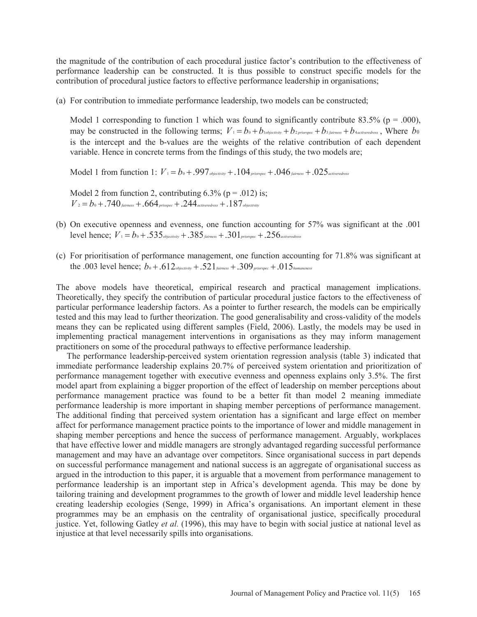the magnitude of the contribution of each procedural justice factor's contribution to the effectiveness of performance leadership can be constructed. It is thus possible to construct specific models for the contribution of procedural justice factors to effective performance leadership in organisations;

(a) For contribution to immediate performance leadership, two models can be constructed;

Model 1 corresponding to function 1 which was found to significantly contribute 83.5% ( $p = .000$ ), may be constructed in the following terms;  $V_1 = b_0 + b_0$  *b b b b b b priorspec*  $+ b_3$  *fairness*  $+ b_4$  *activeredress*, Where *b*<sup>0</sup> is the intercept and the b-values are the weights of the relative contribution of each dependent variable. Hence in concrete terms from the findings of this study, the two models are;

Model 1 from function 1:  $V_1 = b_0 + .997$  objectivity  $+ .104$  priorspec  $+ .046$  fairness  $+ .025$  activeredress

Model 2 from function 2, contributing  $6.3\%$  (p = .012) is;  $V_1 = b_0 + .740$  fairness  $+ .664$  priospec  $+ .244$  activeredress  $+ .187$  objectivity

- (b) On executive openness and evenness, one function accounting for 57% was significant at the .001 level hence;  $V_1 = b_0 + .535$  objectivity  $+ .385$  fairness  $+ .301$  priorspec  $+ .256$  activeredress
- (c) For prioritisation of performance management, one function accounting for 71.8% was significant at the .003 level hence;  $b_0 + .612_{\text{objective}} + .521_{\text{fairness}} + .309_{\text{priospec}} + .015_{\text{humaneness}}$

The above models have theoretical, empirical research and practical management implications. Theoretically, they specify the contribution of particular procedural justice factors to the effectiveness of particular performance leadership factors. As a pointer to further research, the models can be empirically tested and this may lead to further theorization. The good generalisability and cross-validity of the models means they can be replicated using different samples (Field, 2006). Lastly, the models may be used in implementing practical management interventions in organisations as they may inform management practitioners on some of the procedural pathways to effective performance leadership.

 The performance leadership-perceived system orientation regression analysis (table 3) indicated that immediate performance leadership explains 20.7% of perceived system orientation and prioritization of performance management together with executive evenness and openness explains only 3.5%. The first model apart from explaining a bigger proportion of the effect of leadership on member perceptions about performance management practice was found to be a better fit than model 2 meaning immediate performance leadership is more important in shaping member perceptions of performance management. The additional finding that perceived system orientation has a significant and large effect on member affect for performance management practice points to the importance of lower and middle management in shaping member perceptions and hence the success of performance management. Arguably, workplaces that have effective lower and middle managers are strongly advantaged regarding successful performance management and may have an advantage over competitors. Since organisational success in part depends on successful performance management and national success is an aggregate of organisational success as argued in the introduction to this paper, it is arguable that a movement from performance management to performance leadership is an important step in Africa's development agenda. This may be done by tailoring training and development programmes to the growth of lower and middle level leadership hence creating leadership ecologies (Senge, 1999) in Africa's organisations. An important element in these programmes may be an emphasis on the centrality of organisational justice, specifically procedural justice. Yet, following Gatley *et al.* (1996), this may have to begin with social justice at national level as injustice at that level necessarily spills into organisations.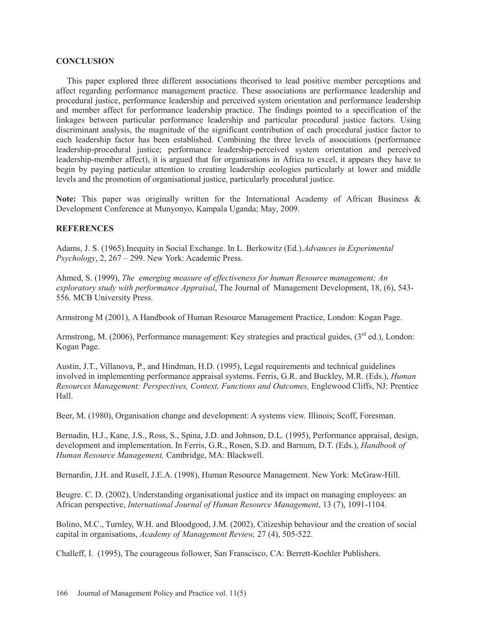## **CONCLUSION**

 This paper explored three different associations theorised to lead positive member perceptions and affect regarding performance management practice. These associations are performance leadership and procedural justice, performance leadership and perceived system orientation and performance leadership and member affect for performance leadership practice. The findings pointed to a specification of the linkages between particular performance leadership and particular procedural justice factors. Using discriminant analysis, the magnitude of the significant contribution of each procedural justice factor to each leadership factor has been established. Combining the three levels of associations (performance leadership-procedural justice; performance leadership-perceived system orientation and perceived leadership-member affect), it is argued that for organisations in Africa to excel, it appears they have to begin by paying particular attention to creating leadership ecologies particularly at lower and middle levels and the promotion of organisational justice, particularly procedural justice.

Note: This paper was originally written for the International Academy of African Business & Development Conference at Munyonyo, Kampala Uganda; May, 2009.

## **REFERENCES**

Adams, J. S. (1965).Inequity in Social Exchange. In L. Berkowitz (Ed.).*Advances in Experimental Psychology*, 2, 267 – 299. New York: Academic Press.

Ahmed, S. (1999), *The emerging measure of effectiveness for human Resource management; An exploratory study with performance Appraisal*, The Journal of Management Development, 18, (6), 543- 556. MCB University Press.

Armstrong M (2001), A Handbook of Human Resource Management Practice, London: Kogan Page.

Armstrong, M. (2006), Performance management: Key strategies and practical guides, (3<sup>rd</sup> ed.), London: Kogan Page.

Austin, J.T., Villanova, P., and Hindman, H.D. (1995), Legal requirements and technical guidelines involved in implementing performance appraisal systems. Ferris, G.R. and Buckley, M.R. (Eds.), *Human Resources Management: Perspectives, Context, Functions and Outcomes,* Englewood Cliffs, NJ: Prentice Hall.

Beer, M. (1980), Organisation change and development: A systems view. Illinois; Scoff, Foresman.

Bernadin, H.J., Kane, J.S., Ross, S., Spina, J.D. and Johnson, D.L. (1995), Performance appraisal, design, development and implementation. In Ferris, G.R., Rosen, S.D. and Barnum, D.T. (Eds.), *Handbook of Human Resource Management,* Cambridge, MA: Blackwell.

Bernardin, J.H. and Rusell, J.E.A. (1998), Human Resource Management. New York: McGraw-Hill.

Beugre. C. D. (2002), Understanding organisational justice and its impact on managing employees: an African perspective, *International Journal of Human Resource Management*, 13 (7), 1091-1104.

Bolino, M.C., Turnley, W.H. and Bloodgood, J.M. (2002), Citizeship behaviour and the creation of social capital in organisations, *Academy of Management Review,* 27 (4), 505-522.

Challeff, I. (1995), The courageous follower, San Franscisco, CA: Berrett-Koehler Publishers.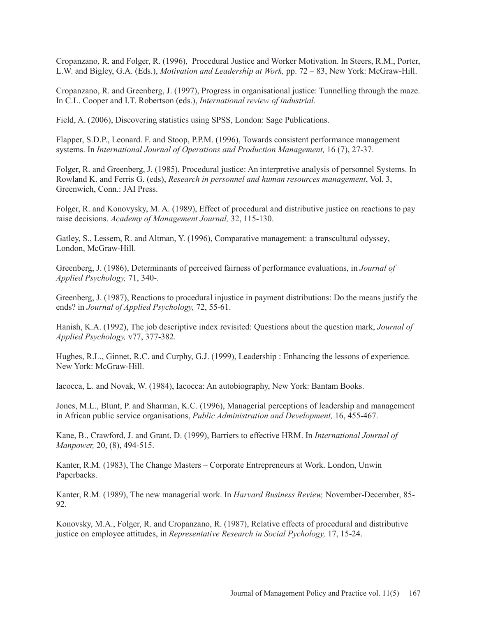Cropanzano, R. and Folger, R. (1996), Procedural Justice and Worker Motivation. In Steers, R.M., Porter, L.W. and Bigley, G.A. (Eds.), *Motivation and Leadership at Work,* pp. 72 – 83, New York: McGraw-Hill.

Cropanzano, R. and Greenberg, J. (1997), Progress in organisational justice: Tunnelling through the maze. In C.L. Cooper and I.T. Robertson (eds.), *International review of industrial.* 

Field, A. (2006), Discovering statistics using SPSS, London: Sage Publications.

Flapper, S.D.P., Leonard. F. and Stoop, P.P.M. (1996), Towards consistent performance management systems. In *International Journal of Operations and Production Management,* 16 (7), 27-37.

Folger, R. and Greenberg, J. (1985), Procedural justice: An interpretive analysis of personnel Systems. In Rowland K. and Ferris G. (eds), *Research in personnel and human resources management*, Vol. 3, Greenwich, Conn.: JAI Press.

Folger, R. and Konovysky, M. A. (1989), Effect of procedural and distributive justice on reactions to pay raise decisions. *Academy of Management Journal,* 32, 115-130.

Gatley, S., Lessem, R. and Altman, Y. (1996), Comparative management: a transcultural odyssey, London, McGraw-Hill.

Greenberg, J. (1986), Determinants of perceived fairness of performance evaluations, in *Journal of Applied Psychology,* 71, 340-.

Greenberg, J. (1987), Reactions to procedural injustice in payment distributions: Do the means justify the ends? in *Journal of Applied Psychology,* 72, 55-61.

Hanish, K.A. (1992), The job descriptive index revisited: Questions about the question mark, *Journal of Applied Psychology,* v77, 377-382.

Hughes, R.L., Ginnet, R.C. and Curphy, G.J. (1999), Leadership : Enhancing the lessons of experience. New York: McGraw-Hill.

Iacocca, L. and Novak, W. (1984), Iacocca: An autobiography, New York: Bantam Books.

Jones, M.L., Blunt, P. and Sharman, K.C. (1996), Managerial perceptions of leadership and management in African public service organisations, *Public Administration and Development,* 16, 455-467.

Kane, B., Crawford, J. and Grant, D. (1999), Barriers to effective HRM. In *International Journal of Manpower,* 20, (8), 494-515.

Kanter, R.M. (1983), The Change Masters – Corporate Entrepreneurs at Work. London, Unwin Paperbacks.

Kanter, R.M. (1989), The new managerial work. In *Harvard Business Review,* November-December, 85- 92.

Konovsky, M.A., Folger, R. and Cropanzano, R. (1987), Relative effects of procedural and distributive justice on employee attitudes, in *Representative Research in Social Pychology,* 17, 15-24.